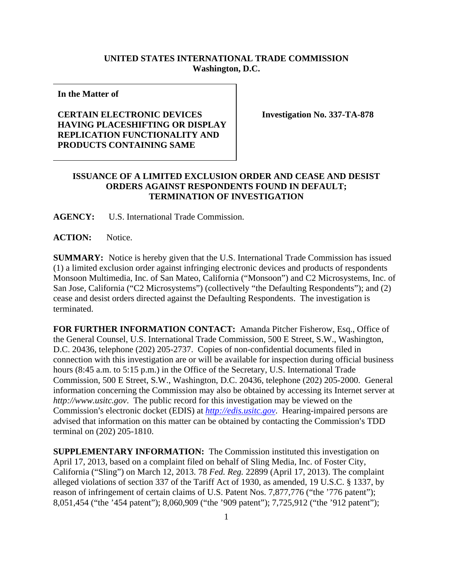## **UNITED STATES INTERNATIONAL TRADE COMMISSION Washington, D.C.**

**In the Matter of** 

## **CERTAIN ELECTRONIC DEVICES HAVING PLACESHIFTING OR DISPLAY REPLICATION FUNCTIONALITY AND PRODUCTS CONTAINING SAME**

**Investigation No. 337-TA-878** 

## **ISSUANCE OF A LIMITED EXCLUSION ORDER AND CEASE AND DESIST ORDERS AGAINST RESPONDENTS FOUND IN DEFAULT; TERMINATION OF INVESTIGATION**

**AGENCY:** U.S. International Trade Commission.

ACTION: Notice.

**SUMMARY:** Notice is hereby given that the U.S. International Trade Commission has issued (1) a limited exclusion order against infringing electronic devices and products of respondents Monsoon Multimedia, Inc. of San Mateo, California ("Monsoon") and C2 Microsystems, Inc. of San Jose, California ("C2 Microsystems") (collectively "the Defaulting Respondents"); and (2) cease and desist orders directed against the Defaulting Respondents. The investigation is terminated.

**FOR FURTHER INFORMATION CONTACT:** Amanda Pitcher Fisherow, Esq., Office of the General Counsel, U.S. International Trade Commission, 500 E Street, S.W., Washington, D.C. 20436, telephone (202) 205-2737. Copies of non-confidential documents filed in connection with this investigation are or will be available for inspection during official business hours (8:45 a.m. to 5:15 p.m.) in the Office of the Secretary, U.S. International Trade Commission, 500 E Street, S.W., Washington, D.C. 20436, telephone (202) 205-2000. General information concerning the Commission may also be obtained by accessing its Internet server at *http://www.usitc.gov*. The public record for this investigation may be viewed on the Commission's electronic docket (EDIS) at *http://edis.usitc.gov*. Hearing-impaired persons are advised that information on this matter can be obtained by contacting the Commission's TDD terminal on (202) 205-1810.

**SUPPLEMENTARY INFORMATION:** The Commission instituted this investigation on April 17, 2013, based on a complaint filed on behalf of Sling Media, Inc. of Foster City, California ("Sling") on March 12, 2013. 78 *Fed. Reg.* 22899 (April 17, 2013). The complaint alleged violations of section 337 of the Tariff Act of 1930, as amended, 19 U.S.C. § 1337, by reason of infringement of certain claims of U.S. Patent Nos. 7,877,776 ("the '776 patent"); 8,051,454 ("the '454 patent"); 8,060,909 ("the '909 patent"); 7,725,912 ("the '912 patent");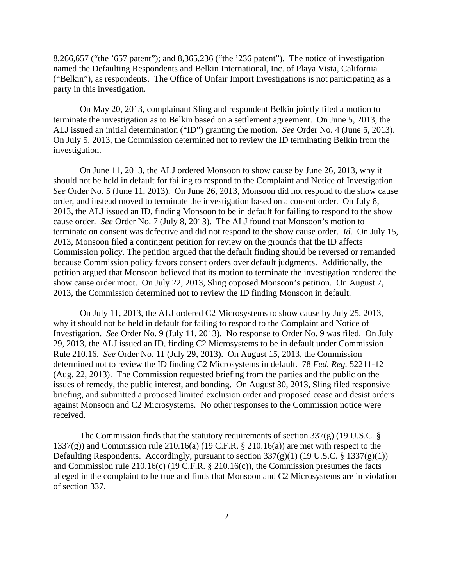8,266,657 ("the '657 patent"); and 8,365,236 ("the '236 patent"). The notice of investigation named the Defaulting Respondents and Belkin International, Inc. of Playa Vista, California ("Belkin"), as respondents. The Office of Unfair Import Investigations is not participating as a party in this investigation.

On May 20, 2013, complainant Sling and respondent Belkin jointly filed a motion to terminate the investigation as to Belkin based on a settlement agreement. On June 5, 2013, the ALJ issued an initial determination ("ID") granting the motion. *See* Order No. 4 (June 5, 2013). On July 5, 2013, the Commission determined not to review the ID terminating Belkin from the investigation.

On June 11, 2013, the ALJ ordered Monsoon to show cause by June 26, 2013, why it should not be held in default for failing to respond to the Complaint and Notice of Investigation. *See* Order No. 5 (June 11, 2013). On June 26, 2013, Monsoon did not respond to the show cause order, and instead moved to terminate the investigation based on a consent order. On July 8, 2013, the ALJ issued an ID, finding Monsoon to be in default for failing to respond to the show cause order. *See* Order No. 7 (July 8, 2013). The ALJ found that Monsoon's motion to terminate on consent was defective and did not respond to the show cause order. *Id.* On July 15, 2013, Monsoon filed a contingent petition for review on the grounds that the ID affects Commission policy. The petition argued that the default finding should be reversed or remanded because Commission policy favors consent orders over default judgments. Additionally, the petition argued that Monsoon believed that its motion to terminate the investigation rendered the show cause order moot. On July 22, 2013, Sling opposed Monsoon's petition. On August 7, 2013, the Commission determined not to review the ID finding Monsoon in default.

On July 11, 2013, the ALJ ordered C2 Microsystems to show cause by July 25, 2013, why it should not be held in default for failing to respond to the Complaint and Notice of Investigation. *See* Order No. 9 (July 11, 2013). No response to Order No. 9 was filed. On July 29, 2013, the ALJ issued an ID, finding C2 Microsystems to be in default under Commission Rule 210.16. *See* Order No. 11 (July 29, 2013). On August 15, 2013, the Commission determined not to review the ID finding C2 Microsystems in default. 78 *Fed. Reg.* 52211-12 (Aug. 22, 2013). The Commission requested briefing from the parties and the public on the issues of remedy, the public interest, and bonding. On August 30, 2013, Sling filed responsive briefing, and submitted a proposed limited exclusion order and proposed cease and desist orders against Monsoon and C2 Microsystems. No other responses to the Commission notice were received.

The Commission finds that the statutory requirements of section 337(g) (19 U.S.C. § 1337(g)) and Commission rule 210.16(a) (19 C.F.R.  $\S$  210.16(a)) are met with respect to the Defaulting Respondents. Accordingly, pursuant to section  $337(g)(1)$  (19 U.S.C. § 1337(g)(1)) and Commission rule 210.16(c) (19 C.F.R. § 210.16(c)), the Commission presumes the facts alleged in the complaint to be true and finds that Monsoon and C2 Microsystems are in violation of section 337.